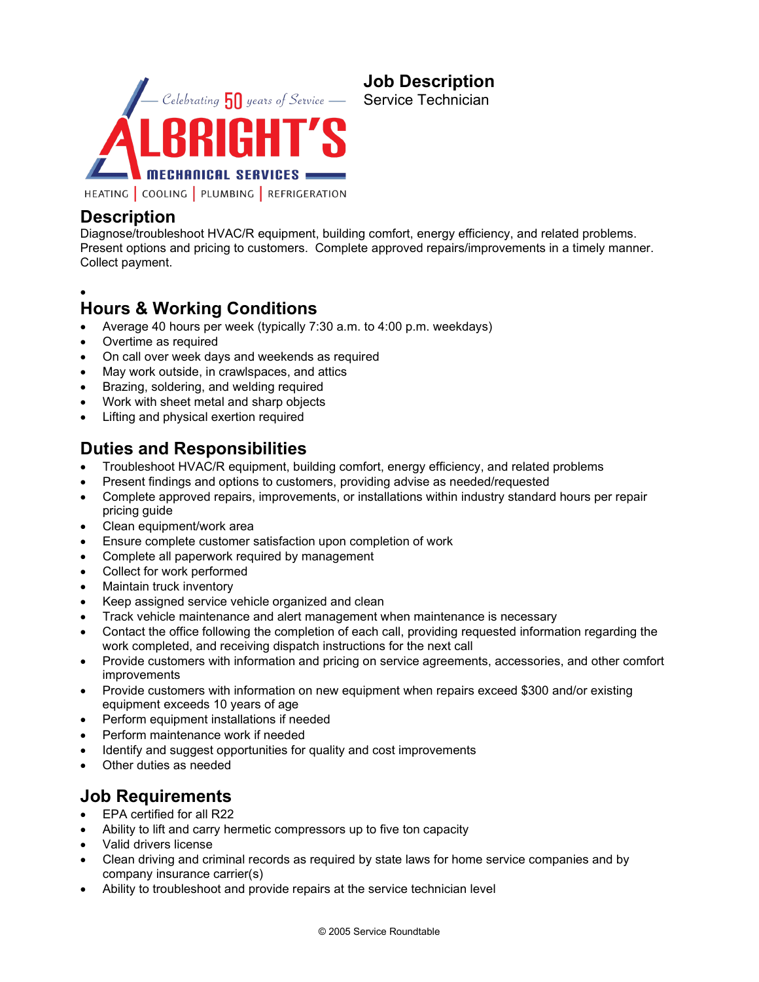

# **Description**

Diagnose/troubleshoot HVAC/R equipment, building comfort, energy efficiency, and related problems. Present options and pricing to customers. Complete approved repairs/improvements in a timely manner. Collect payment.

**Job Description** Service Technician

•

## **Hours & Working Conditions**

- Average 40 hours per week (typically 7:30 a.m. to 4:00 p.m. weekdays)
- Overtime as required
- On call over week days and weekends as required
- May work outside, in crawlspaces, and attics
- Brazing, soldering, and welding required
- Work with sheet metal and sharp objects
- Lifting and physical exertion required

## **Duties and Responsibilities**

- Troubleshoot HVAC/R equipment, building comfort, energy efficiency, and related problems
- Present findings and options to customers, providing advise as needed/requested
- Complete approved repairs, improvements, or installations within industry standard hours per repair pricing guide
- Clean equipment/work area
- Ensure complete customer satisfaction upon completion of work
- Complete all paperwork required by management
- Collect for work performed
- Maintain truck inventory
- Keep assigned service vehicle organized and clean
- Track vehicle maintenance and alert management when maintenance is necessary
- Contact the office following the completion of each call, providing requested information regarding the work completed, and receiving dispatch instructions for the next call
- Provide customers with information and pricing on service agreements, accessories, and other comfort improvements
- Provide customers with information on new equipment when repairs exceed \$300 and/or existing equipment exceeds 10 years of age
- Perform equipment installations if needed
- Perform maintenance work if needed
- Identify and suggest opportunities for quality and cost improvements
- Other duties as needed

#### **Job Requirements**

- EPA certified for all R22
- Ability to lift and carry hermetic compressors up to five ton capacity
- Valid drivers license
- Clean driving and criminal records as required by state laws for home service companies and by company insurance carrier(s)
- Ability to troubleshoot and provide repairs at the service technician level